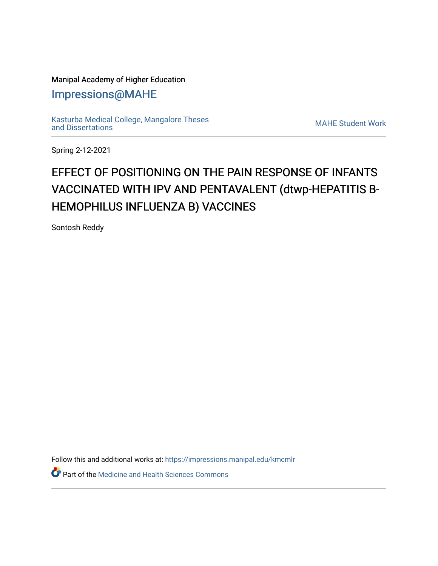# Manipal Academy of Higher Education

[Impressions@MAHE](https://impressions.manipal.edu/)

[Kasturba Medical College, Mangalore Theses](https://impressions.manipal.edu/kmcmlr) [and Dissertations](https://impressions.manipal.edu/kmcmlr) [MAHE Student Work](https://impressions.manipal.edu/student-work) 

Spring 2-12-2021

# EFFECT OF POSITIONING ON THE PAIN RESPONSE OF INFANTS VACCINATED WITH IPV AND PENTAVALENT (dtwp-HEPATITIS B-HEMOPHILUS INFLUENZA B) VACCINES

Sontosh Reddy

Follow this and additional works at: [https://impressions.manipal.edu/kmcmlr](https://impressions.manipal.edu/kmcmlr?utm_source=impressions.manipal.edu%2Fkmcmlr%2F231&utm_medium=PDF&utm_campaign=PDFCoverPages) 

*O* Part of the Medicine and Health Sciences Commons